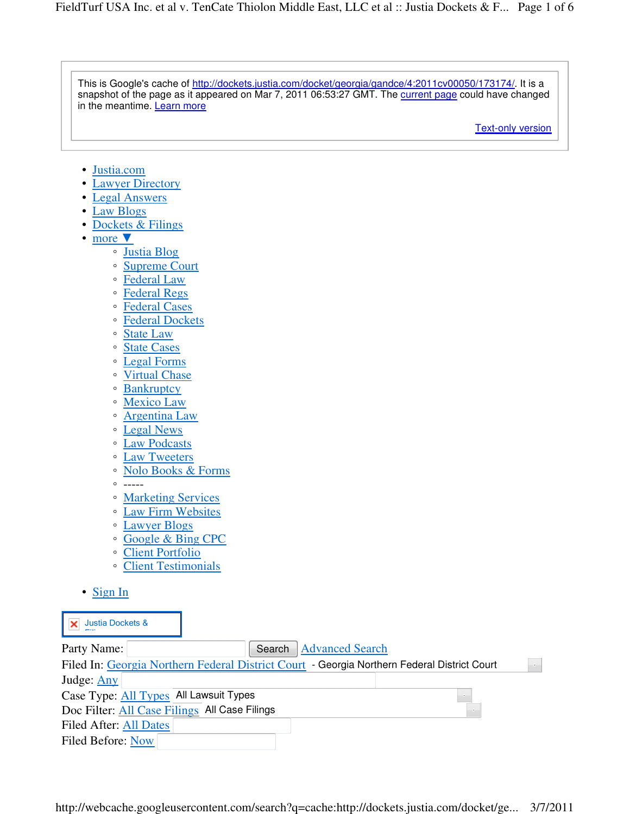| This is Google's cache of http://dockets.justia.com/docket/georgia/gandce/4:2011cv00050/173174/. It is a<br>snapshot of the page as it appeared on Mar 7, 2011 06:53:27 GMT. The current page could have changed<br>in the meantime. Learn more                                                                                                                                                                                                                                                                                                                                                                                                                                                                                                                                                                                                                                                                                                                                                                                              |
|----------------------------------------------------------------------------------------------------------------------------------------------------------------------------------------------------------------------------------------------------------------------------------------------------------------------------------------------------------------------------------------------------------------------------------------------------------------------------------------------------------------------------------------------------------------------------------------------------------------------------------------------------------------------------------------------------------------------------------------------------------------------------------------------------------------------------------------------------------------------------------------------------------------------------------------------------------------------------------------------------------------------------------------------|
| <b>Text-only version</b>                                                                                                                                                                                                                                                                                                                                                                                                                                                                                                                                                                                                                                                                                                                                                                                                                                                                                                                                                                                                                     |
| Justia.com<br>٠<br><b>Lawyer Directory</b><br>٠<br><b>Legal Answers</b><br>٠<br><b>Law Blogs</b><br>٠<br>Dockets & Filings<br>٠<br>more $\blacktriangledown$<br>٠<br><b>Justia Blog</b><br>$\circ$<br><b>Supreme Court</b><br>$\circ$<br><b>Federal Law</b><br>$\circ$<br><b>Federal Regs</b><br>$\circ$<br><b>Federal Cases</b><br>$\circ$<br><b>Federal Dockets</b><br>$\circ$<br><b>State Law</b><br>$\circ$<br><b>State Cases</b><br>$\circ$<br><b>Legal Forms</b><br>$\circ$<br><b>Virtual Chase</b><br>$\circ$<br><b>Bankruptcy</b><br>$\circ$<br><b>Mexico Law</b><br>$\circ$<br><b>Argentina Law</b><br>$\circ$<br><b>Legal News</b><br>$\circ$<br><b>Law Podcasts</b><br>$\circ$<br><b>Law Tweeters</b><br>$\circ$<br><b>Nolo Books &amp; Forms</b><br>$\circ$<br>$\circ$<br>$- - - - -$<br><b>Marketing Services</b><br>$\circ$<br><b>Law Firm Websites</b><br>$\circ$<br><b>Lawyer Blogs</b><br>$\circ$<br><b>Google &amp; Bing CPC</b><br>$\circ$<br><b>Client Portfolio</b><br>$\circ$<br><b>Client Testimonials</b><br>$\circ$ |
| $\bullet$ Sign In                                                                                                                                                                                                                                                                                                                                                                                                                                                                                                                                                                                                                                                                                                                                                                                                                                                                                                                                                                                                                            |
| <b>Justia Dockets &amp;</b><br>×                                                                                                                                                                                                                                                                                                                                                                                                                                                                                                                                                                                                                                                                                                                                                                                                                                                                                                                                                                                                             |
| <b>Advanced Search</b><br>Party Name:<br>Search<br>Filed In: Georgia Northern Federal District Court - Georgia Northern Federal District Court<br>$\sim$<br>Judge: Any<br>Case Type: All Types All Lawsuit Types<br>Doc Filter: All Case Filings All Case Filings<br>Filed After: All Dates<br>Filed Before: Now                                                                                                                                                                                                                                                                                                                                                                                                                                                                                                                                                                                                                                                                                                                             |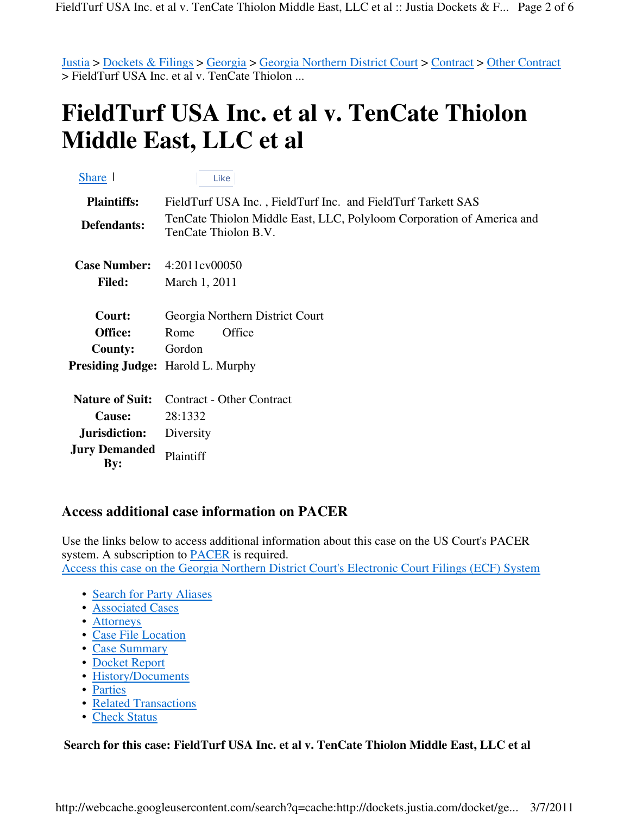Justia > Dockets & Filings > Georgia > Georgia Northern District Court > Contract > Other Contract > FieldTurf USA Inc. et al v. TenCate Thiolon ...

## **FieldTurf USA Inc. et al v. TenCate Thiolon Middle East, LLC et al**

| Share 1                     | Like                                                                                          |
|-----------------------------|-----------------------------------------------------------------------------------------------|
| <b>Plaintiffs:</b>          | FieldTurf USA Inc., FieldTurf Inc. and FieldTurf Tarkett SAS                                  |
| Defendants:                 | TenCate Thiolon Middle East, LLC, Polyloom Corporation of America and<br>TenCate Thiolon B.V. |
| <b>Case Number:</b>         | 4:2011cv00050                                                                                 |
| <b>Filed:</b>               | March 1, 2011                                                                                 |
| Court:                      | Georgia Northern District Court                                                               |
| Office:                     | Office<br>Rome                                                                                |
| <b>County:</b>              | Gordon                                                                                        |
|                             | <b>Presiding Judge:</b> Harold L. Murphy                                                      |
| <b>Nature of Suit:</b>      | <b>Contract - Other Contract</b>                                                              |
| <b>Cause:</b>               | 28:1332                                                                                       |
| Jurisdiction:               | Diversity                                                                                     |
| <b>Jury Demanded</b><br>By: | Plaintiff                                                                                     |

## **Access additional case information on PACER**

Use the links below to access additional information about this case on the US Court's PACER system. A subscription to PACER is required. Access this case on the Georgia Northern District Court's Electronic Court Filings (ECF) System

- Search for Party Aliases
- Associated Cases
- Attorneys
- Case File Location
- Case Summary
- Docket Report
- History/Documents
- Parties
- Related Transactions
- Check Status

## **Search for this case: FieldTurf USA Inc. et al v. TenCate Thiolon Middle East, LLC et al**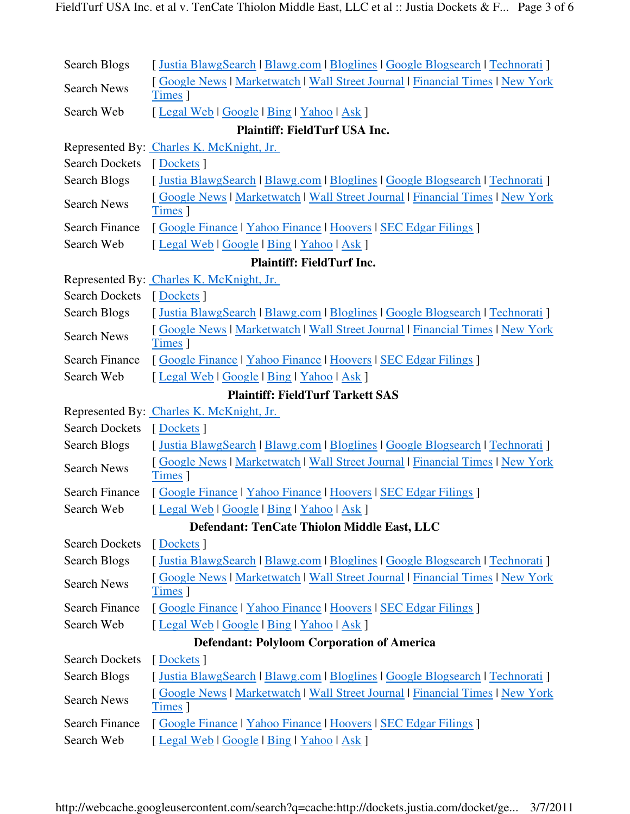| Search Blogs                                      | [Justia BlawgSearch   Blawg.com   Bloglines   Google Blogsearch   Technorati ]                      |  |  |  |
|---------------------------------------------------|-----------------------------------------------------------------------------------------------------|--|--|--|
| <b>Search News</b>                                | [Google News   Marketwatch   Wall Street Journal   Financial Times   New York<br>Times <sup>1</sup> |  |  |  |
| Search Web                                        | [Legal Web   Google   Bing   Yahoo   Ask ]                                                          |  |  |  |
| <b>Plaintiff: FieldTurf USA Inc.</b>              |                                                                                                     |  |  |  |
|                                                   | Represented By: Charles K. McKnight, Jr.                                                            |  |  |  |
| <b>Search Dockets</b>                             | [Dockets]                                                                                           |  |  |  |
| <b>Search Blogs</b>                               | [Justia BlawgSearch   Blawg.com   Bloglines   Google Blogsearch   Technorati ]                      |  |  |  |
| <b>Search News</b>                                | [Google News   Marketwatch   Wall Street Journal   Financial Times   New York<br>Times ]            |  |  |  |
| <b>Search Finance</b>                             | [Google Finance   Yahoo Finance   Hoovers   SEC Edgar Filings ]                                     |  |  |  |
| Search Web                                        | [Legal Web   Google   Bing   Yahoo   Ask ]                                                          |  |  |  |
| <b>Plaintiff: FieldTurf Inc.</b>                  |                                                                                                     |  |  |  |
|                                                   | Represented By: Charles K. McKnight, Jr.                                                            |  |  |  |
| <b>Search Dockets</b>                             | [Dockets]                                                                                           |  |  |  |
| Search Blogs                                      | [Justia BlawgSearch   Blawg.com   Bloglines   Google Blogsearch   Technorati ]                      |  |  |  |
| <b>Search News</b>                                | [Google News   Marketwatch   Wall Street Journal   Financial Times   New York<br>Times ]            |  |  |  |
| <b>Search Finance</b>                             | [Google Finance   Yahoo Finance   Hoovers   SEC Edgar Filings ]                                     |  |  |  |
| Search Web                                        | [Legal Web   Google   Bing   Yahoo   Ask ]                                                          |  |  |  |
| <b>Plaintiff: FieldTurf Tarkett SAS</b>           |                                                                                                     |  |  |  |
|                                                   | Represented By: Charles K. McKnight, Jr.                                                            |  |  |  |
| <b>Search Dockets</b>                             | [Dockets]                                                                                           |  |  |  |
| <b>Search Blogs</b>                               | [Justia BlawgSearch   Blawg.com   Bloglines   Google Blogsearch   Technorati ]                      |  |  |  |
| <b>Search News</b>                                | [Google News   Marketwatch   Wall Street Journal   Financial Times   New York<br>Times <sup>1</sup> |  |  |  |
| <b>Search Finance</b>                             | [Google Finance   Yahoo Finance   Hoovers   SEC Edgar Filings ]                                     |  |  |  |
| Search Web                                        | [Legal Web   Google   Bing   Yahoo   Ask ]                                                          |  |  |  |
| Defendant: TenCate Thiolon Middle East, LLC       |                                                                                                     |  |  |  |
| <b>Search Dockets</b>                             | [Dockets]                                                                                           |  |  |  |
| Search Blogs                                      | [Justia BlawgSearch   Blawg.com   Bloglines   Google Blogsearch   Technorati ]                      |  |  |  |
| <b>Search News</b>                                | [Google News   Marketwatch   Wall Street Journal   Financial Times   New York<br>Times <sup>1</sup> |  |  |  |
| <b>Search Finance</b>                             | [Google Finance   Yahoo Finance   Hoovers   SEC Edgar Filings ]                                     |  |  |  |
| Search Web                                        | [Legal Web   Google   Bing   Yahoo   Ask ]                                                          |  |  |  |
| <b>Defendant: Polyloom Corporation of America</b> |                                                                                                     |  |  |  |
| <b>Search Dockets</b>                             | [Dockets]                                                                                           |  |  |  |
| Search Blogs                                      | [Justia BlawgSearch   Blawg.com   Bloglines   Google Blogsearch   Technorati ]                      |  |  |  |
| <b>Search News</b>                                | [Google News   Marketwatch   Wall Street Journal   Financial Times   New York<br>Times ]            |  |  |  |
| <b>Search Finance</b>                             | [Google Finance   Yahoo Finance   Hoovers   SEC Edgar Filings ]                                     |  |  |  |
| Search Web                                        | [Legal Web   Google   Bing   Yahoo   Ask ]                                                          |  |  |  |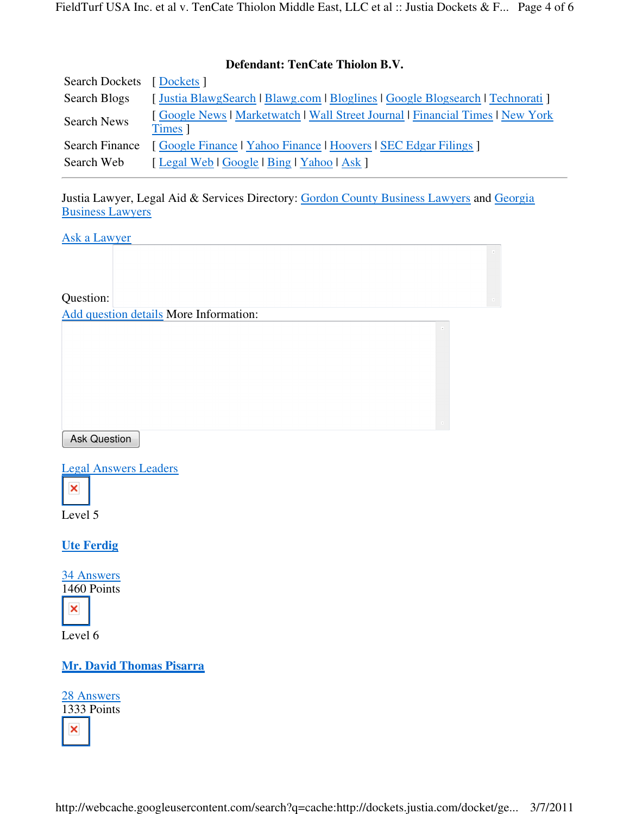## **Defendant: TenCate Thiolon B.V.**

| Search Dockets [Dockets] |                                                                                          |
|--------------------------|------------------------------------------------------------------------------------------|
| Search Blogs             | [Justia BlawgSearch   Blawg.com   Bloglines   Google Blogsearch   Technorati ]           |
| <b>Search News</b>       | [Google News   Marketwatch   Wall Street Journal   Financial Times   New York<br>Times 1 |
| Search Finance           | [Google Finance   Yahoo Finance   Hoovers   SEC Edgar Filings ]                          |
| Search Web               | [Legal Web   Google   Bing   Yahoo   Ask ]                                               |

Justia Lawyer, Legal Aid & Services Directory: Gordon County Business Lawyers and Georgia Business Lawyers

 $\bar{\mathbf{x}}$ 

Ask a Lawyer

Question:

Add question details More Information:

Ask Question

Legal Answers Leaders



Level 5

**Ute Ferdig**

34 Answers 1460 Points



Level 6

**Mr. David Thomas Pisarra**

28 Answers 1333 Points ×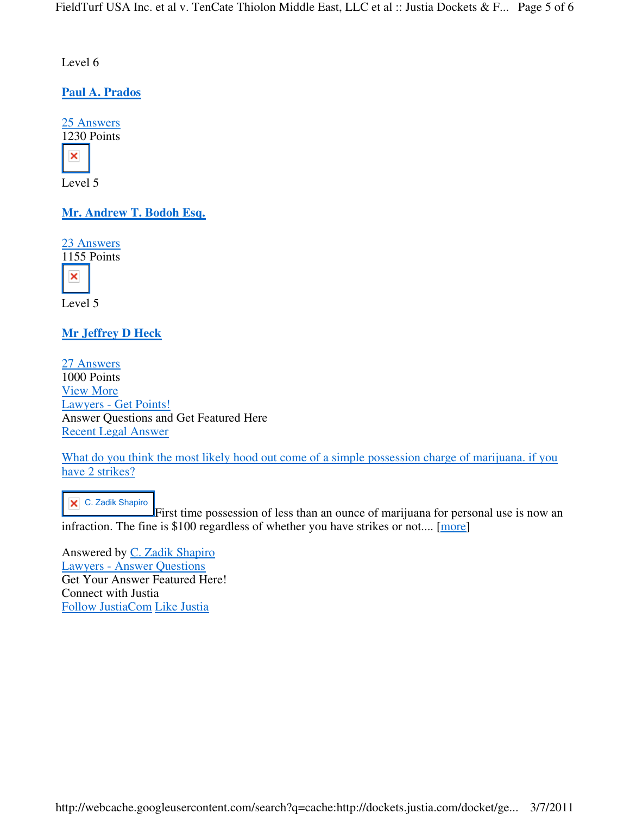Level 6

**Paul A. Prados**

25 Answers 1230 Points × Level 5

**Mr. Andrew T. Bodoh Esq.**

23 Answers 1155 Points ×

Level 5

**Mr Jeffrey D Heck**

27 Answers 1000 Points View More Lawyers - Get Points! Answer Questions and Get Featured Here Recent Legal Answer

What do you think the most likely hood out come of a simple possession charge of marijuana. if you have 2 strikes?

**X** C. Zadik Shapiro

First time possession of less than an ounce of marijuana for personal use is now an infraction. The fine is \$100 regardless of whether you have strikes or not.... [more]

Answered by C. Zadik Shapiro Lawyers - Answer Questions Get Your Answer Featured Here! Connect with Justia Follow JustiaCom Like Justia